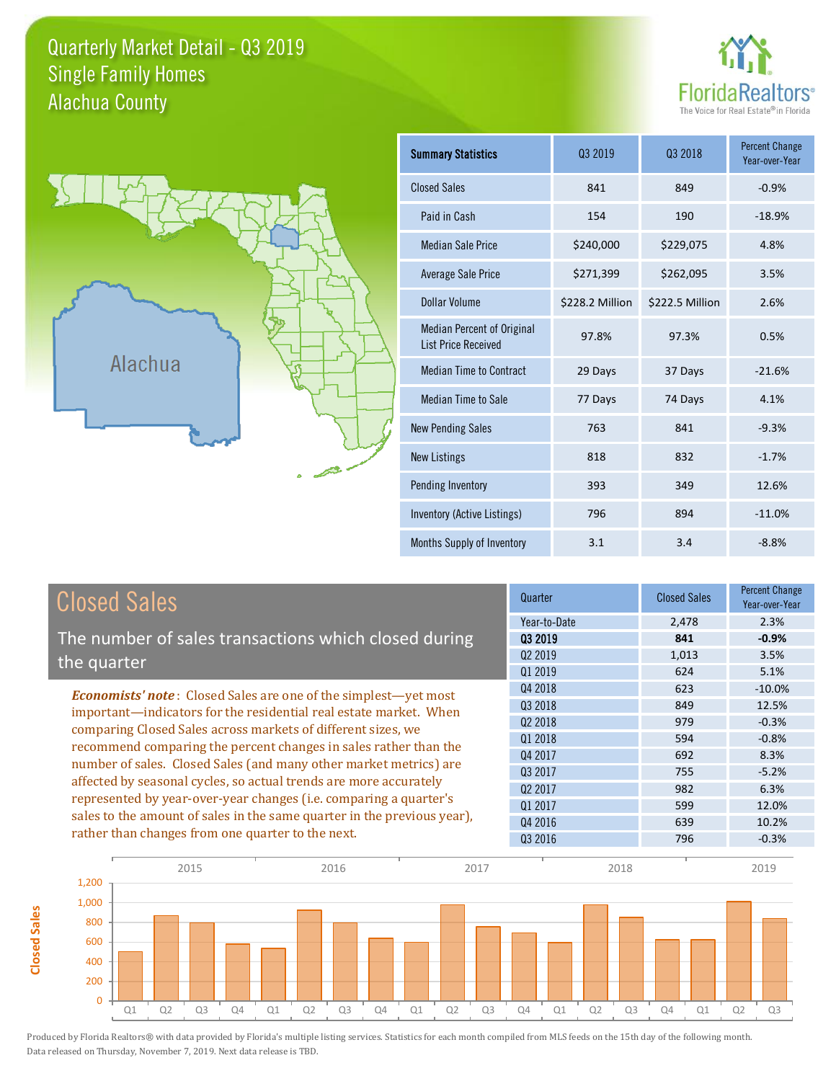### Quarterly Market Detail - Q3 2019 Alachua County Single Family Homes





**Closed Sales**

**Closed Sales** 

| <b>Summary Statistics</b>                                       | 03 2019<br>03 2018 |                 | <b>Percent Change</b><br>Year-over-Year |
|-----------------------------------------------------------------|--------------------|-----------------|-----------------------------------------|
| <b>Closed Sales</b>                                             | 841                | 849             | $-0.9%$                                 |
| Paid in Cash                                                    | 154                | 190             | $-18.9%$                                |
| <b>Median Sale Price</b>                                        | \$240,000          | \$229,075       | 4.8%                                    |
| <b>Average Sale Price</b>                                       | \$271,399          | \$262,095       | 3.5%                                    |
| Dollar Volume                                                   | \$228.2 Million    | \$222.5 Million | 2.6%                                    |
| <b>Median Percent of Original</b><br><b>List Price Received</b> | 97.8%              | 97.3%           | 0.5%                                    |
| <b>Median Time to Contract</b>                                  | 29 Days            | 37 Days         | $-21.6%$                                |
| Median Time to Sale                                             | 77 Days            | 74 Days         | 4.1%                                    |
| <b>New Pending Sales</b>                                        | 763                | 841             | $-9.3%$                                 |
| <b>New Listings</b>                                             | 818                | 832             | $-1.7%$                                 |
| Pending Inventory                                               | 393                | 349             | 12.6%                                   |
| Inventory (Active Listings)                                     | 796                | 894             | $-11.0%$                                |
| Months Supply of Inventory                                      | 3.1                | 3.4             | $-8.8%$                                 |

| <b>Closed Sales</b>                                                                                                                                                                                                                                                        | Quarter             | <b>Closed Sales</b> | Percent Change<br>Year-over-Year |
|----------------------------------------------------------------------------------------------------------------------------------------------------------------------------------------------------------------------------------------------------------------------------|---------------------|---------------------|----------------------------------|
|                                                                                                                                                                                                                                                                            | Year-to-Date        | 2,478               | 2.3%                             |
| The number of sales transactions which closed during                                                                                                                                                                                                                       | 03 2019             | 841                 | $-0.9%$                          |
| the quarter                                                                                                                                                                                                                                                                | Q <sub>2</sub> 2019 | 1,013               | 3.5%                             |
|                                                                                                                                                                                                                                                                            | 01 2019             | 624                 | 5.1%                             |
| <b>Economists' note:</b> Closed Sales are one of the simplest—yet most                                                                                                                                                                                                     | Q4 2018             | 623                 | $-10.0\%$                        |
| important—indicators for the residential real estate market. When                                                                                                                                                                                                          | Q3 2018             | 849                 | 12.5%                            |
| comparing Closed Sales across markets of different sizes, we<br>recommend comparing the percent changes in sales rather than the<br>number of sales. Closed Sales (and many other market metrics) are<br>affected by seasonal cycles, so actual trends are more accurately | Q <sub>2</sub> 2018 | 979                 | $-0.3%$                          |
|                                                                                                                                                                                                                                                                            | Q1 2018             | 594                 | $-0.8%$                          |
|                                                                                                                                                                                                                                                                            | Q4 2017             | 692                 | 8.3%                             |
|                                                                                                                                                                                                                                                                            | Q3 2017             | 755                 | $-5.2%$                          |
|                                                                                                                                                                                                                                                                            | 02 2017             | 982                 | 6.3%                             |
| represented by year-over-year changes (i.e. comparing a quarter's                                                                                                                                                                                                          | Q1 2017             | 599                 | 12.0%                            |
| sales to the amount of sales in the same quarter in the previous year),                                                                                                                                                                                                    | Q4 2016             | 639                 | 10.2%                            |
| rather than changes from one quarter to the next.                                                                                                                                                                                                                          | Q3 2016             | 796                 | $-0.3%$                          |

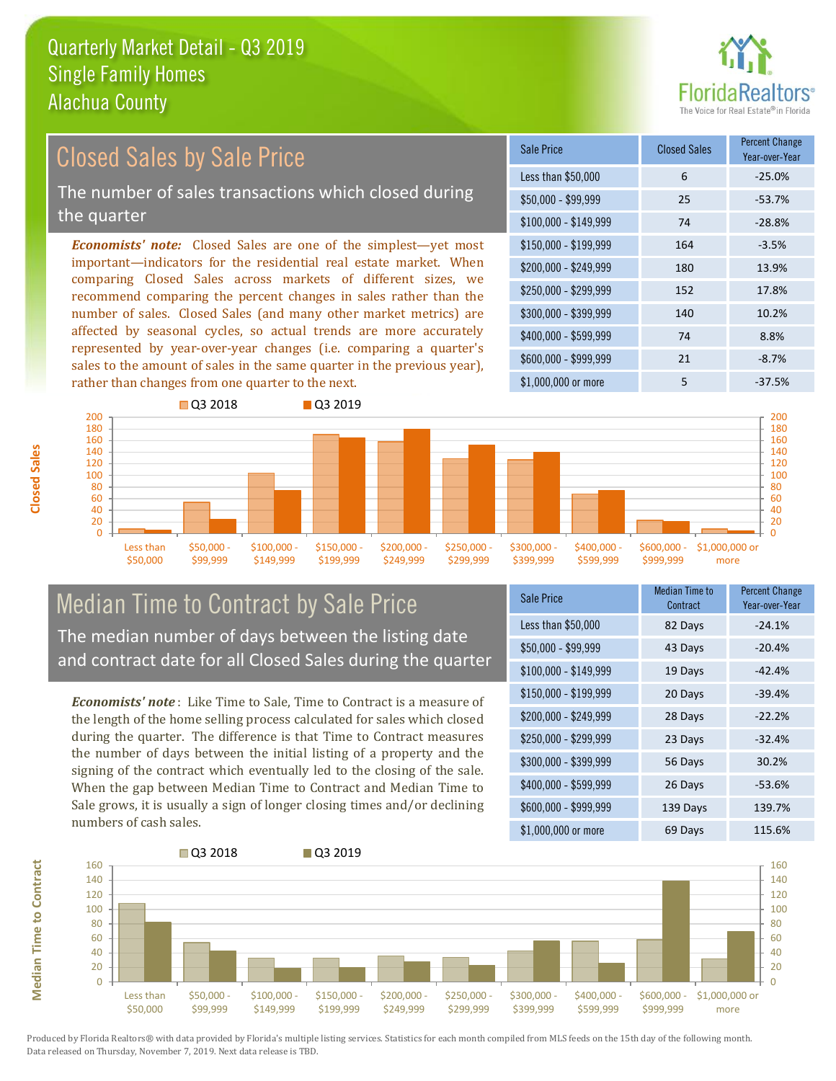![](_page_1_Picture_1.jpeg)

#### $$100,000 - $149,999$  74 -28.8% Sale Price Closed Sales Percent Change Year-over-Year Less than \$50,000 6 6 -25.0% \$50,000 - \$99,999 25 -53.7% \$150,000 - \$199,999 164 -3.5% \$200,000 - \$249,999 180 13.9% \$400,000 - \$599,999 74 8.8%  $$600,000 - $999,999$  21 -8.7% *Economists' note:* Closed Sales are one of the simplest—yet most important—indicators for the residential real estate market. When comparing Closed Sales across markets of different sizes, we recommend comparing the percent changes in sales rather than the number of sales. Closed Sales (and many other market metrics) are affected by seasonal cycles, so actual trends are more accurately represented by year-over-year changes (i.e. comparing a quarter's sales to the amount of sales in the same quarter in the previous year), rather than changes from one quarter to the next. \$1,000,000 or more 5 5 -37.5% \$250,000 - \$299,999 152 17.8% \$300,000 - \$399,999 140 10.2% Closed Sales by Sale Price The number of sales transactions which closed during the quarter

![](_page_1_Figure_3.jpeg)

#### Median Time to Contract by Sale Price The median number of days between the listing date and contract date for all Closed Sales during the quarter

*Economists' note* : Like Time to Sale, Time to Contract is a measure of the length of the home selling process calculated for sales which closed during the quarter. The difference is that Time to Contract measures the number of days between the initial listing of a property and the signing of the contract which eventually led to the closing of the sale. When the gap between Median Time to Contract and Median Time to Sale grows, it is usually a sign of longer closing times and/or declining numbers of cash sales.

| Sale Price            | <b>Median Time to</b><br>Contract | <b>Percent Change</b><br>Year-over-Year |
|-----------------------|-----------------------------------|-----------------------------------------|
| Less than \$50,000    | 82 Days                           | $-24.1%$                                |
| $$50,000 - $99,999$   | 43 Days                           | $-20.4%$                                |
| $$100,000 - $149,999$ | 19 Days                           | $-42.4%$                                |
| $$150,000 - $199,999$ | 20 Days                           | $-39.4%$                                |
| \$200,000 - \$249,999 | 28 Days                           | $-22.2%$                                |
| \$250,000 - \$299,999 | 23 Days                           | $-32.4%$                                |
| \$300,000 - \$399,999 | 56 Days                           | 30.2%                                   |
| \$400,000 - \$599,999 | 26 Days                           | $-53.6%$                                |
| \$600,000 - \$999,999 | 139 Days                          | 139.7%                                  |
| \$1,000,000 or more   | 69 Days                           | 115.6%                                  |

![](_page_1_Figure_7.jpeg)

Produced by Florida Realtors® with data provided by Florida's multiple listing services. Statistics for each month compiled from MLS feeds on the 15th day of the following month. Data released on Thursday, November 7, 2019. Next data release is TBD.

**Median Time to Contract**

**Median Time to Contract**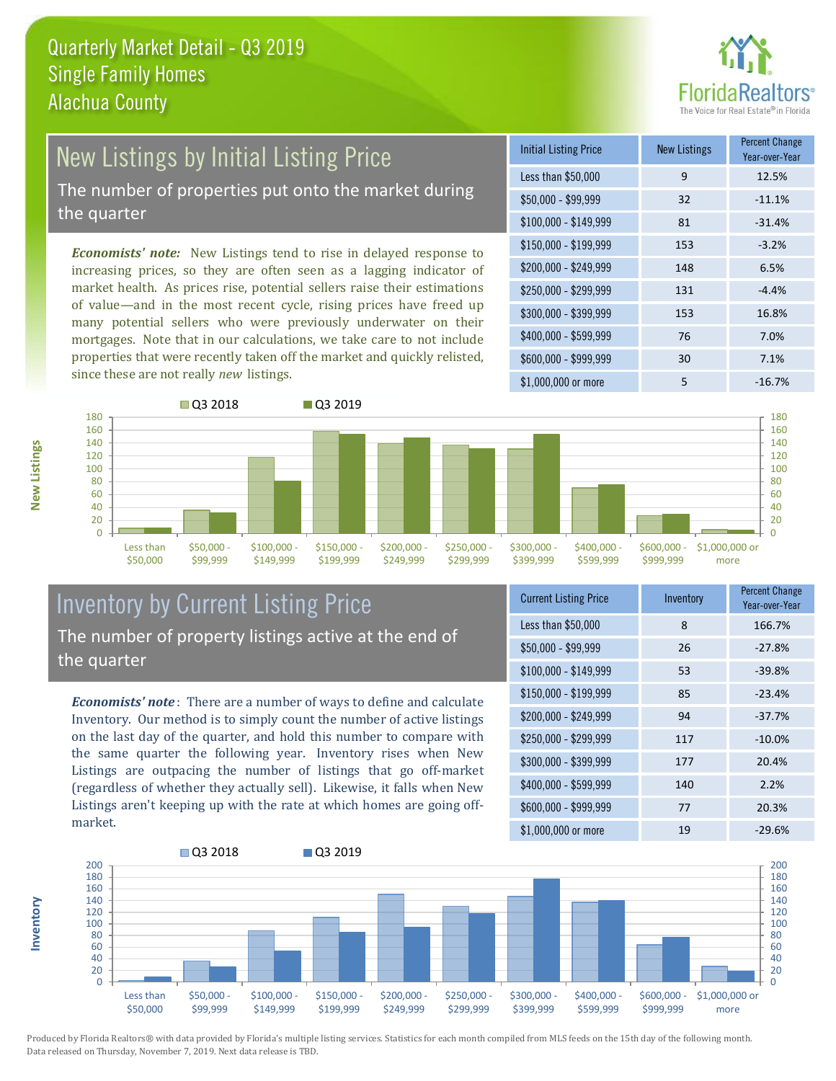![](_page_2_Picture_1.jpeg)

## New Listings by Initial Listing Price

The number of properties put onto the market during the quarter

*Economists' note:* New Listings tend to rise in delayed response to increasing prices, so they are often seen as a lagging indicator of market health. As prices rise, potential sellers raise their estimations of value—and in the most recent cycle, rising prices have freed up many potential sellers who were previously underwater on their mortgages. Note that in our calculations, we take care to not include properties that were recently taken off the market and quickly relisted, since these are not really *new* listings.

![](_page_2_Picture_5.jpeg)

![](_page_2_Figure_6.jpeg)

#### Inventory by Current Listing Price The number of property listings active at the end of the quarter

*Economists' note* : There are a number of ways to define and calculate Inventory. Our method is to simply count the number of active listings on the last day of the quarter, and hold this number to compare with the same quarter the following year. Inventory rises when New Listings are outpacing the number of listings that go off-market (regardless of whether they actually sell). Likewise, it falls when New Listings aren't keeping up with the rate at which homes are going offmarket.

| <b>Current Listing Price</b> | Inventory | Percent Change<br>Year-over-Year |
|------------------------------|-----------|----------------------------------|
| Less than \$50,000           | 8         | 166.7%                           |
| $$50,000 - $99,999$          | 26        | $-27.8%$                         |
| $$100,000 - $149,999$        | 53        | $-39.8%$                         |
| $$150,000 - $199,999$        | 85        | $-23.4%$                         |
| \$200,000 - \$249,999        | 94        | $-37.7%$                         |
| \$250,000 - \$299,999        | 117       | $-10.0%$                         |
| \$300,000 - \$399,999        | 177       | 20.4%                            |
| \$400,000 - \$599,999        | 140       | 2.2%                             |
| \$600,000 - \$999,999        | 77        | 20.3%                            |
| \$1,000,000 or more          | 19        | $-29.6%$                         |

![](_page_2_Figure_10.jpeg)

Produced by Florida Realtors® with data provided by Florida's multiple listing services. Statistics for each month compiled from MLS feeds on the 15th day of the following month. Data released on Thursday, November 7, 2019. Next data release is TBD.

**Inventory**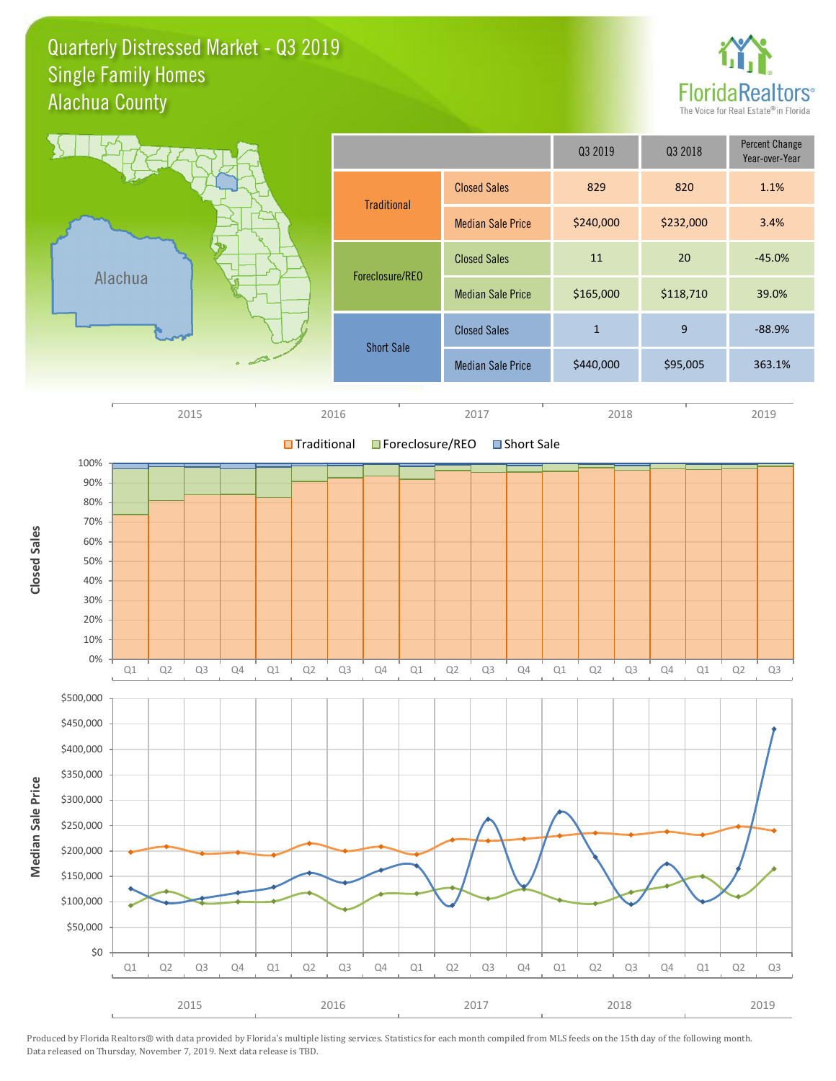Quarterly Distressed Market - Q3 2019 Alachua County Single Family Homes

![](_page_3_Picture_1.jpeg)

![](_page_3_Figure_2.jpeg)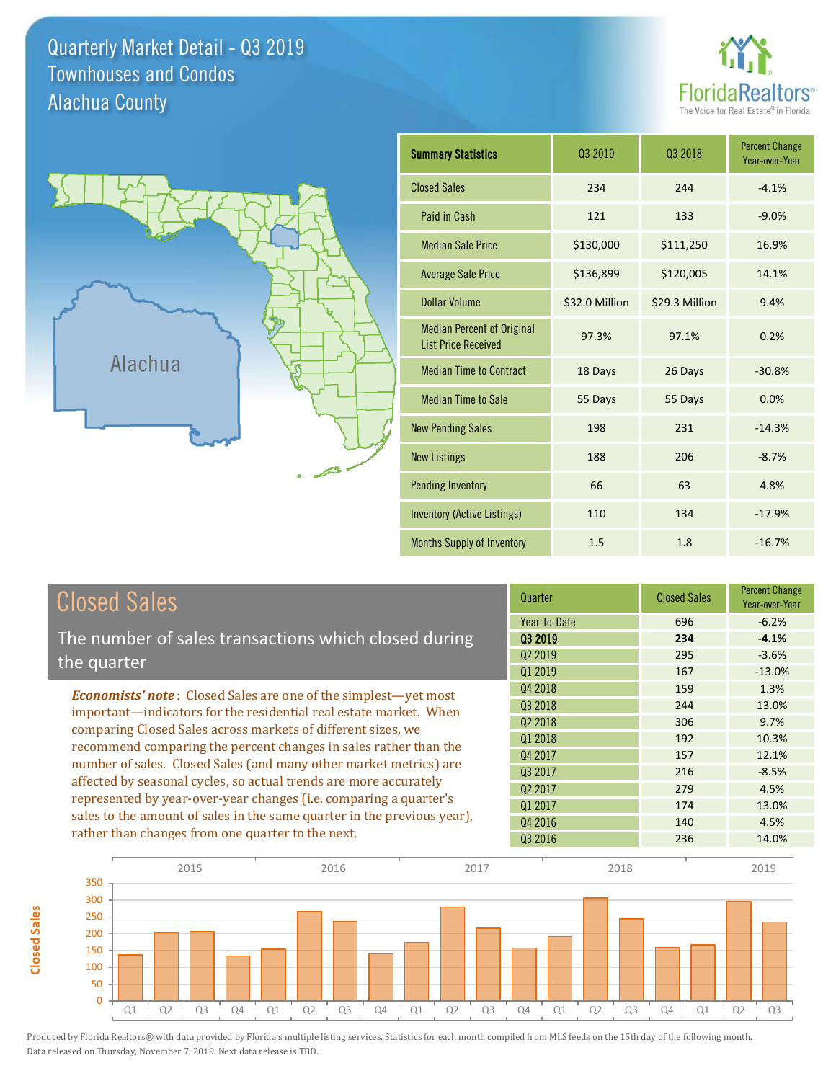Quarterly Market Detail - Q3 2019 Alachua County Townhouses and Condos

![](_page_4_Picture_1.jpeg)

![](_page_4_Figure_2.jpeg)

**Closed Sales**

**Closed Sales** 

| <b>Summary Statistics</b>                                       | 03 2019        | 03 2018        | <b>Percent Change</b><br>Year-over-Year |
|-----------------------------------------------------------------|----------------|----------------|-----------------------------------------|
| <b>Closed Sales</b>                                             | 234            | 244            | $-4.1%$                                 |
| Paid in Cash                                                    | 121            | 133            | $-9.0%$                                 |
| <b>Median Sale Price</b>                                        | \$130,000      | \$111,250      | 16.9%                                   |
| <b>Average Sale Price</b>                                       | \$136,899      | \$120,005      | 14.1%                                   |
| Dollar Volume                                                   | \$32.0 Million | \$29.3 Million | 9.4%                                    |
| <b>Median Percent of Original</b><br><b>List Price Received</b> | 97.3%          | 97.1%          | 0.2%                                    |
| <b>Median Time to Contract</b>                                  | 18 Days        | 26 Days        | $-30.8%$                                |
| <b>Median Time to Sale</b>                                      | 55 Days        | 55 Days        | 0.0%                                    |
| <b>New Pending Sales</b>                                        | 198            | 231            | $-14.3%$                                |
| <b>New Listings</b>                                             | 188            | 206            | $-8.7%$                                 |
| <b>Pending Inventory</b>                                        | 66             | 63             | 4.8%                                    |
| Inventory (Active Listings)                                     | 110            | 134            | $-17.9%$                                |
| Months Supply of Inventory                                      | 1.5            | 1.8            | $-16.7%$                                |

| <b>Closed Sales</b>                                                                                                                                                                                   | Quarter             | <b>Closed Sales</b> | <b>Percent Change</b><br>Year-over-Year |
|-------------------------------------------------------------------------------------------------------------------------------------------------------------------------------------------------------|---------------------|---------------------|-----------------------------------------|
|                                                                                                                                                                                                       | Year-to-Date        | 696                 | $-6.2%$                                 |
| The number of sales transactions which closed during                                                                                                                                                  | 03 2019             | 234                 | $-4.1%$                                 |
| the quarter                                                                                                                                                                                           | 02 2019             | 295                 | $-3.6%$                                 |
|                                                                                                                                                                                                       | 01 2019             | 167                 | $-13.0%$                                |
| <b>Economists' note:</b> Closed Sales are one of the simplest—yet most                                                                                                                                | Q4 2018             | 159                 | 1.3%                                    |
| important—indicators for the residential real estate market. When                                                                                                                                     | Q3 2018             | 244                 | 13.0%                                   |
| comparing Closed Sales across markets of different sizes, we<br>recommend comparing the percent changes in sales rather than the<br>number of sales. Closed Sales (and many other market metrics) are | Q <sub>2</sub> 2018 | 306                 | 9.7%                                    |
|                                                                                                                                                                                                       | 01 2018             | 192                 | 10.3%                                   |
|                                                                                                                                                                                                       | Q4 2017             | 157                 | 12.1%                                   |
|                                                                                                                                                                                                       | 03 2017             | 216                 | $-8.5%$                                 |
| affected by seasonal cycles, so actual trends are more accurately                                                                                                                                     | Q <sub>2</sub> 2017 | 279                 | 4.5%                                    |
| represented by year-over-year changes (i.e. comparing a quarter's                                                                                                                                     | Q1 2017             | 174                 | 13.0%                                   |
| sales to the amount of sales in the same quarter in the previous year),                                                                                                                               | Q4 2016             | 140                 | 4.5%                                    |
| rather than changes from one quarter to the next.                                                                                                                                                     | Q3 2016             | 236                 | 14.0%                                   |

![](_page_4_Figure_5.jpeg)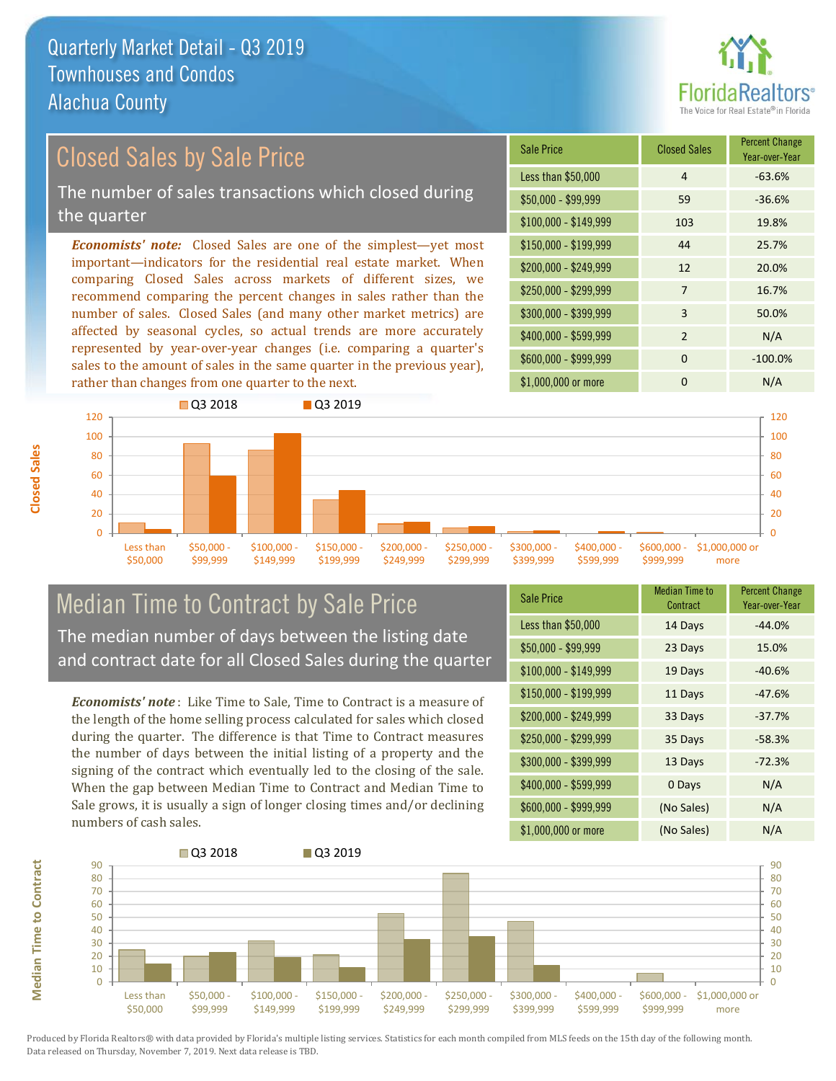![](_page_5_Picture_1.jpeg)

### Closed Sales by Sale Price The number of sales transactions which closed during the quarter

*Economists' note:* Closed Sales are one of the simplest—yet most important—indicators for the residential real estate market. When comparing Closed Sales across markets of different sizes, we recommend comparing the percent changes in sales rather than the number of sales. Closed Sales (and many other market metrics) are affected by seasonal cycles, so actual trends are more accurately represented by year-over-year changes (i.e. comparing a quarter's sales to the amount of sales in the same quarter in the previous year), rather than changes from one quarter to the next.

| <b>Sale Price</b>     | <b>Closed Sales</b> | <b>Percent Change</b><br>Year-over-Year |
|-----------------------|---------------------|-----------------------------------------|
| Less than \$50,000    | 4                   | $-63.6%$                                |
| \$50,000 - \$99,999   | 59                  | $-36.6%$                                |
| $$100,000 - $149,999$ | 103                 | 19.8%                                   |
| $$150,000 - $199,999$ | 44                  | 25.7%                                   |
| \$200,000 - \$249,999 | 12                  | 20.0%                                   |
| \$250,000 - \$299,999 | 7                   | 16.7%                                   |
| \$300,000 - \$399,999 | 3                   | 50.0%                                   |
| \$400,000 - \$599,999 | $\overline{2}$      | N/A                                     |
| \$600,000 - \$999,999 | 0                   | $-100.0%$                               |
| \$1,000,000 or more   | 0                   | N/A                                     |

![](_page_5_Figure_5.jpeg)

#### Median Time to Contract by Sale Price The median number of days between the listing date and contract date for all Closed Sales during the quarter

*Economists' note* : Like Time to Sale, Time to Contract is a measure of the length of the home selling process calculated for sales which closed during the quarter. The difference is that Time to Contract measures the number of days between the initial listing of a property and the signing of the contract which eventually led to the closing of the sale. When the gap between Median Time to Contract and Median Time to Sale grows, it is usually a sign of longer closing times and/or declining numbers of cash sales.

| <b>Sale Price</b>     | Median Time to<br>Contract | <b>Percent Change</b><br>Year-over-Year |
|-----------------------|----------------------------|-----------------------------------------|
| Less than \$50,000    | 14 Days                    | $-44.0%$                                |
| $$50,000 - $99,999$   | 23 Days                    | 15.0%                                   |
| $$100,000 - $149,999$ | 19 Days                    | $-40.6%$                                |
| $$150,000 - $199,999$ | 11 Days                    | $-47.6%$                                |
| \$200,000 - \$249,999 | 33 Days                    | $-37.7%$                                |
| \$250,000 - \$299,999 | 35 Days                    | $-58.3%$                                |
| \$300,000 - \$399,999 | 13 Days                    | $-72.3%$                                |
| \$400,000 - \$599,999 | 0 Days                     | N/A                                     |
| \$600,000 - \$999,999 | (No Sales)                 | N/A                                     |
| \$1,000,000 or more   | (No Sales)                 | N/A                                     |

![](_page_5_Figure_9.jpeg)

**Closed Sales**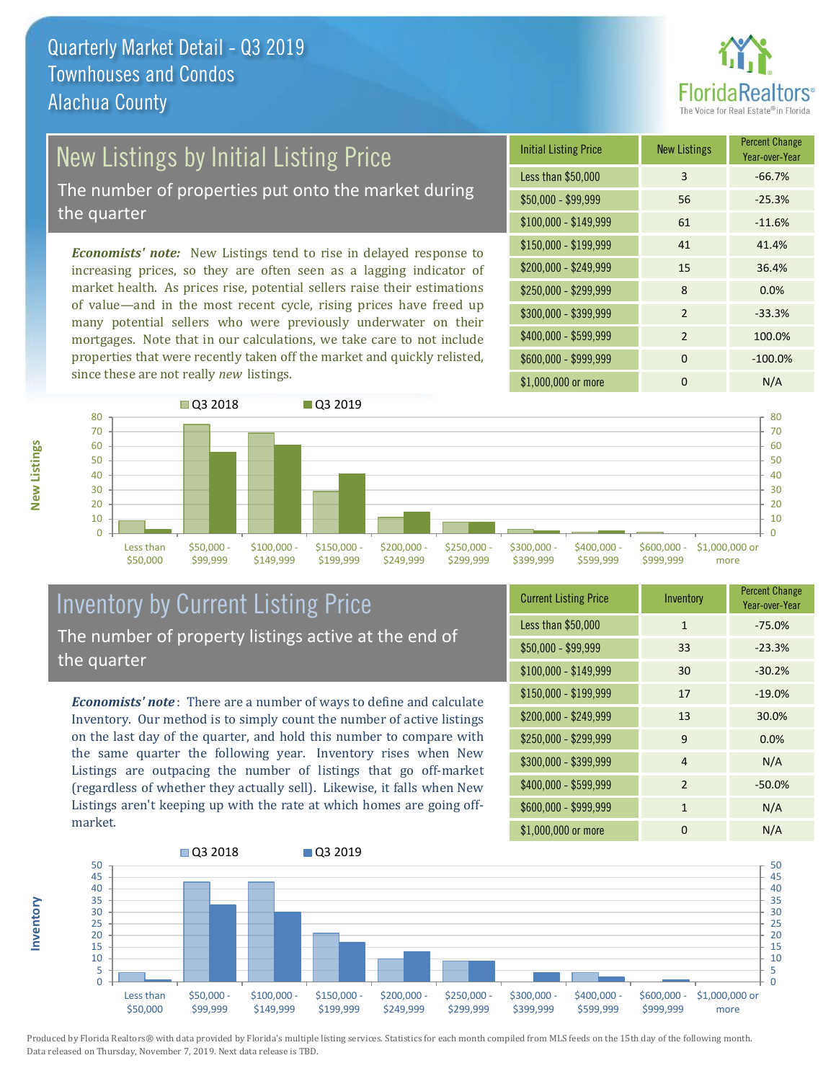![](_page_6_Picture_1.jpeg)

## New Listings by Initial Listing Price

The number of properties put onto the market during the quarter

*Economists' note:* New Listings tend to rise in delayed response to increasing prices, so they are often seen as a lagging indicator of market health. As prices rise, potential sellers raise their estimations of value—and in the most recent cycle, rising prices have freed up many potential sellers who were previously underwater on their mortgages. Note that in our calculations, we take care to not include properties that were recently taken off the market and quickly relisted, since these are not really *new* listings.

| <b>Initial Listing Price</b> | <b>New Listings</b> | <b>Percent Change</b><br>Year-over-Year |
|------------------------------|---------------------|-----------------------------------------|
| Less than \$50,000           | 3                   | $-66.7%$                                |
| $$50,000 - $99,999$          | 56                  | $-25.3%$                                |
| $$100,000 - $149,999$        | 61                  | $-11.6%$                                |
| $$150,000 - $199,999$        | 41                  | 41.4%                                   |
| \$200,000 - \$249,999        | 15                  | 36.4%                                   |
| \$250,000 - \$299,999        | 8                   | 0.0%                                    |
| \$300,000 - \$399,999        | $\overline{2}$      | $-33.3%$                                |
| \$400,000 - \$599,999        | $\mathcal{P}$       | 100.0%                                  |
| \$600,000 - \$999,999        | $\Omega$            | $-100.0%$                               |
| \$1,000,000 or more          | ŋ                   | N/A                                     |

![](_page_6_Figure_6.jpeg)

### Inventory by Current Listing Price The number of property listings active at the end of the quarter

*Economists' note* : There are a number of ways to define and calculate Inventory. Our method is to simply count the number of active listings on the last day of the quarter, and hold this number to compare with the same quarter the following year. Inventory rises when New Listings are outpacing the number of listings that go off-market (regardless of whether they actually sell). Likewise, it falls when New Listings aren't keeping up with the rate at which homes are going offmarket.

| <b>Current Listing Price</b> | Inventory      | <b>Percent Change</b><br>Year-over-Year |
|------------------------------|----------------|-----------------------------------------|
| Less than \$50,000           | $\mathbf{1}$   | $-75.0%$                                |
| $$50,000 - $99,999$          | 33             | $-23.3%$                                |
| $$100,000 - $149,999$        | 30             | $-30.2%$                                |
| $$150,000 - $199,999$        | 17             | $-19.0%$                                |
| \$200,000 - \$249,999        | 13             | 30.0%                                   |
| \$250,000 - \$299,999        | 9              | 0.0%                                    |
| \$300,000 - \$399,999        | $\overline{4}$ | N/A                                     |
| \$400,000 - \$599,999        | $\overline{2}$ | $-50.0%$                                |
| \$600,000 - \$999,999        | $\mathbf{1}$   | N/A                                     |
| \$1,000,000 or more          | 0              | N/A                                     |

![](_page_6_Figure_10.jpeg)

**Inventory**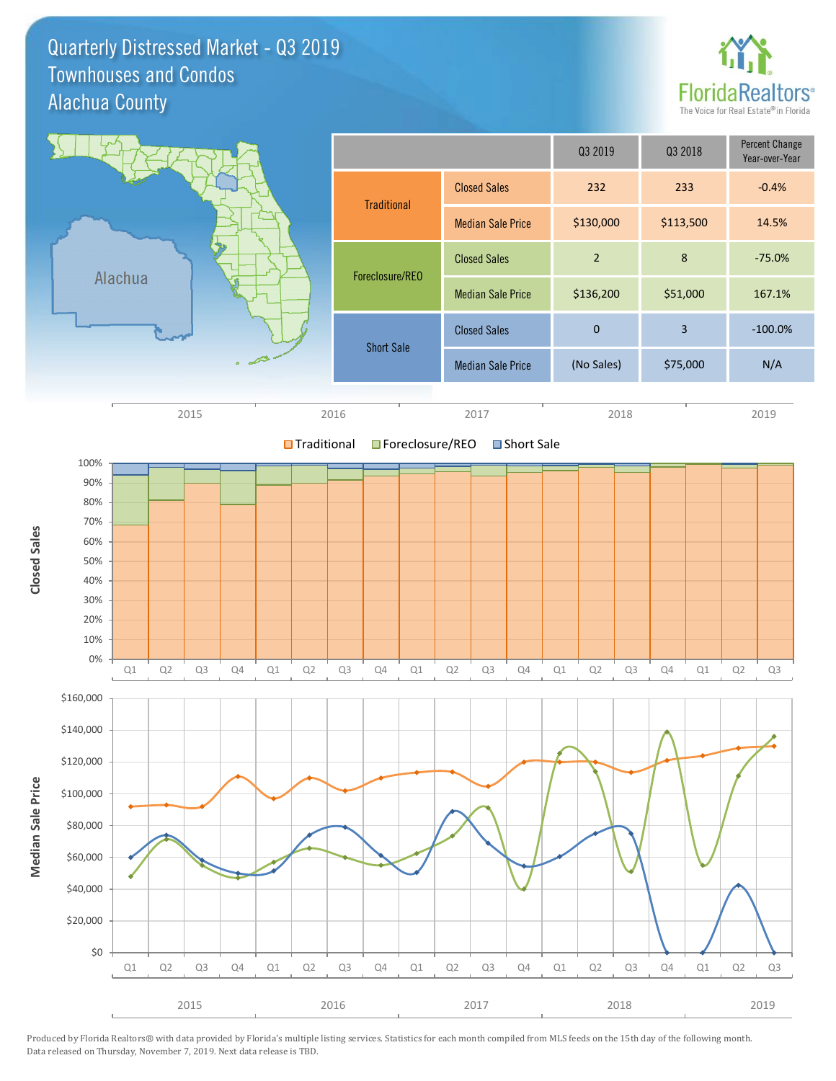Quarterly Distressed Market - Q3 2019 Alachua County Townhouses and Condos

![](_page_7_Picture_1.jpeg)

![](_page_7_Figure_2.jpeg)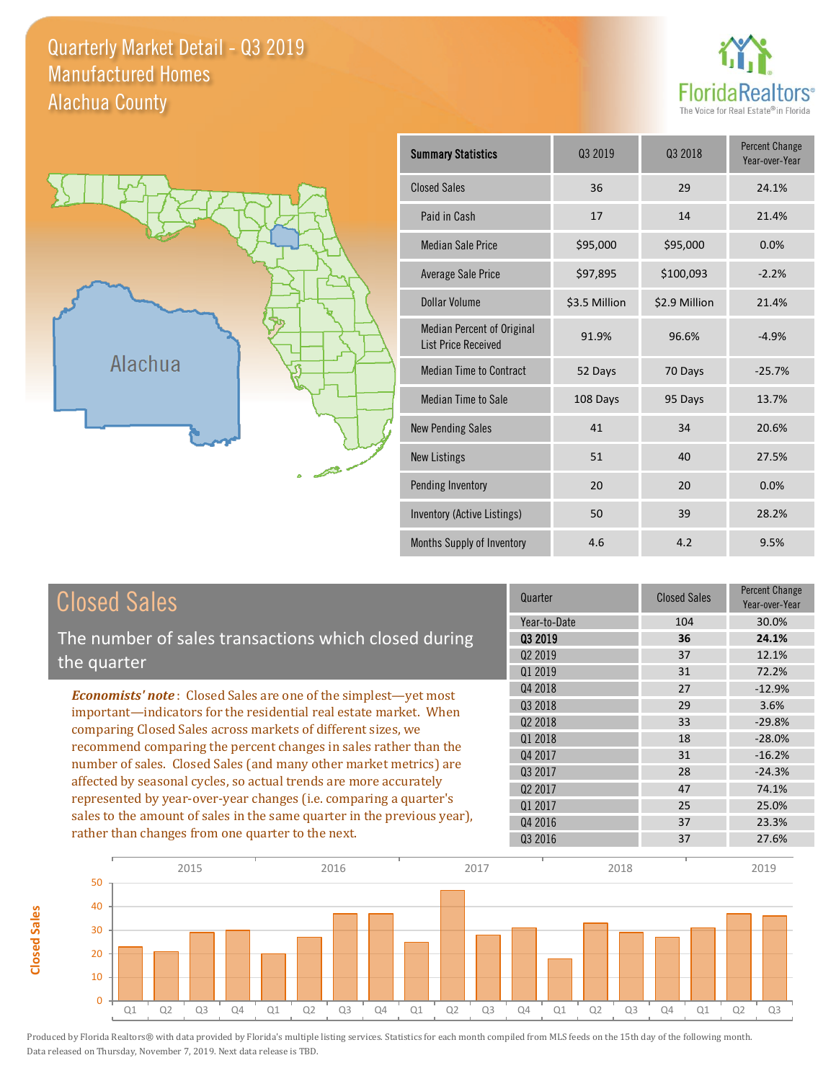#### Quarterly Market Detail - Q3 2019 Alachua County Manufactured Homes

![](_page_8_Picture_1.jpeg)

![](_page_8_Figure_2.jpeg)

**Closed Sales**

**Closed Sales** 

| <b>Summary Statistics</b>                                       | 03 2019       | 03 2018       | <b>Percent Change</b><br>Year-over-Year |
|-----------------------------------------------------------------|---------------|---------------|-----------------------------------------|
| <b>Closed Sales</b>                                             | 36            | 29            | 24.1%                                   |
| Paid in Cash                                                    | 17            | 14            | 21.4%                                   |
| <b>Median Sale Price</b>                                        | \$95,000      | \$95,000      | 0.0%                                    |
| <b>Average Sale Price</b>                                       | \$97,895      | \$100,093     | $-2.2%$                                 |
| Dollar Volume                                                   | \$3.5 Million | \$2.9 Million | 21.4%                                   |
| <b>Median Percent of Original</b><br><b>List Price Received</b> | 91.9%         | 96.6%         | $-4.9%$                                 |
| <b>Median Time to Contract</b>                                  | 52 Days       | 70 Days       | $-25.7%$                                |
| <b>Median Time to Sale</b>                                      | 108 Days      | 95 Days       | 13.7%                                   |
| <b>New Pending Sales</b>                                        | 41            | 34            | 20.6%                                   |
| <b>New Listings</b>                                             | 51            | 40            | 27.5%                                   |
| Pending Inventory                                               | 20            | 20            | 0.0%                                    |
| Inventory (Active Listings)                                     | 50            | 39            | 28.2%                                   |
| Months Supply of Inventory                                      | 4.6           | 4.2           | 9.5%                                    |

| <b>Closed Sales</b>                                                                                                                                                                                   | Quarter             | <b>Closed Sales</b> | <b>Percent Change</b><br>Year-over-Year |
|-------------------------------------------------------------------------------------------------------------------------------------------------------------------------------------------------------|---------------------|---------------------|-----------------------------------------|
|                                                                                                                                                                                                       | Year-to-Date        | 104                 | 30.0%                                   |
| The number of sales transactions which closed during                                                                                                                                                  | 03 2019             | 36                  | 24.1%                                   |
| the quarter                                                                                                                                                                                           | Q <sub>2</sub> 2019 | 37                  | 12.1%                                   |
|                                                                                                                                                                                                       | 01 2019             | 31                  | 72.2%                                   |
| <b>Economists' note:</b> Closed Sales are one of the simplest—yet most                                                                                                                                | Q4 2018             | 27                  | $-12.9%$                                |
| important—indicators for the residential real estate market. When                                                                                                                                     | Q3 2018             | 29                  | 3.6%                                    |
| comparing Closed Sales across markets of different sizes, we<br>recommend comparing the percent changes in sales rather than the<br>number of sales. Closed Sales (and many other market metrics) are | Q <sub>2</sub> 2018 | 33                  | $-29.8%$                                |
|                                                                                                                                                                                                       | 01 2018             | 18                  | $-28.0%$                                |
|                                                                                                                                                                                                       | Q4 2017             | 31                  | $-16.2%$                                |
|                                                                                                                                                                                                       | 03 2017             | 28                  | $-24.3%$                                |
| affected by seasonal cycles, so actual trends are more accurately                                                                                                                                     | Q <sub>2</sub> 2017 | 47                  | 74.1%                                   |
| represented by year-over-year changes (i.e. comparing a quarter's                                                                                                                                     | Q1 2017             | 25                  | 25.0%                                   |
| sales to the amount of sales in the same quarter in the previous year),                                                                                                                               | Q4 2016             | 37                  | 23.3%                                   |
| rather than changes from one quarter to the next.                                                                                                                                                     | 03 2016             | 37                  | 27.6%                                   |

![](_page_8_Figure_5.jpeg)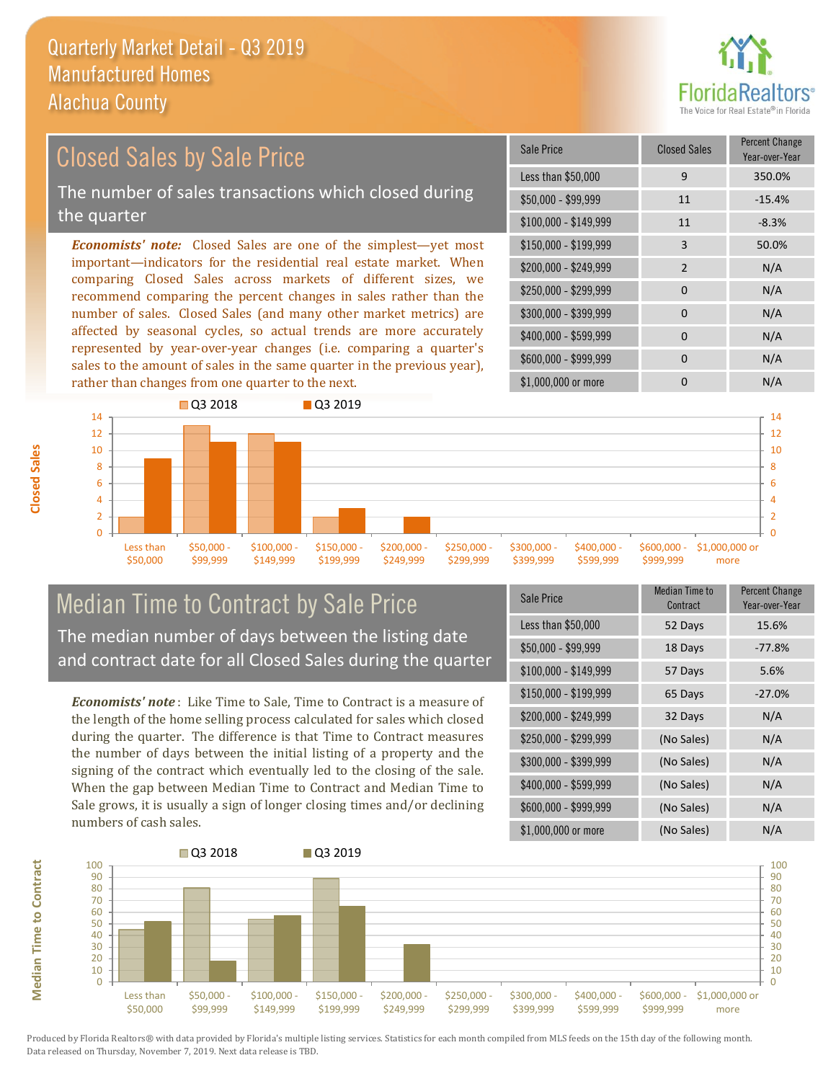![](_page_9_Picture_1.jpeg)

#### $$100,000 - $149,999$  11 -8.3% Sale Price Closed Sales Percent Change Year-over-Year Less than \$50,000 9 350.0% \$50,000 - \$99,999 11 -15.4% \$150,000 - \$199,999 3 50.0%  $$200,000 - $249,999$  2 N/A  $$400,000 - $599,999$  0 N/A *Economists' note:* Closed Sales are one of the simplest—yet most important—indicators for the residential real estate market. When comparing Closed Sales across markets of different sizes, we recommend comparing the percent changes in sales rather than the number of sales. Closed Sales (and many other market metrics) are \$250,000 - \$299,999 0 0 N/A \$300,000 - \$399,999 0 0 N/A Closed Sales by Sale Price The number of sales transactions which closed during the quarter

affected by seasonal cycles, so actual trends are more accurately represented by year-over-year changes (i.e. comparing a quarter's sales to the amount of sales in the same quarter in the previous year), rather than changes from one quarter to the next.

![](_page_9_Figure_4.jpeg)

#### Median Time to Contract by Sale Price The median number of days between the listing date and contract date for all Closed Sales during the quarter

*Economists' note* : Like Time to Sale, Time to Contract is a measure of the length of the home selling process calculated for sales which closed during the quarter. The difference is that Time to Contract measures the number of days between the initial listing of a property and the signing of the contract which eventually led to the closing of the sale. When the gap between Median Time to Contract and Median Time to Sale grows, it is usually a sign of longer closing times and/or declining numbers of cash sales.

| Sale Price            | Median Time to<br>Contract | <b>Percent Change</b><br>Year-over-Year |
|-----------------------|----------------------------|-----------------------------------------|
| Less than \$50,000    | 52 Days                    | 15.6%                                   |
| \$50,000 - \$99,999   | 18 Days                    | $-77.8%$                                |
| $$100,000 - $149,999$ | 57 Days                    | 5.6%                                    |
| $$150,000 - $199,999$ | 65 Days                    | $-27.0%$                                |
| \$200,000 - \$249,999 | 32 Days                    | N/A                                     |
| \$250,000 - \$299,999 | (No Sales)                 | N/A                                     |
| \$300,000 - \$399,999 | (No Sales)                 | N/A                                     |
| \$400,000 - \$599,999 | (No Sales)                 | N/A                                     |
| \$600,000 - \$999,999 | (No Sales)                 | N/A                                     |
| \$1,000,000 or more   | (No Sales)                 | N/A                                     |

\$600,000 - \$999,999 0 0 N/A

![](_page_9_Figure_8.jpeg)

Produced by Florida Realtors® with data provided by Florida's multiple listing services. Statistics for each month compiled from MLS feeds on the 15th day of the following month. Data released on Thursday, November 7, 2019. Next data release is TBD.

**Median Time to Contract**

**Median Time to Contract**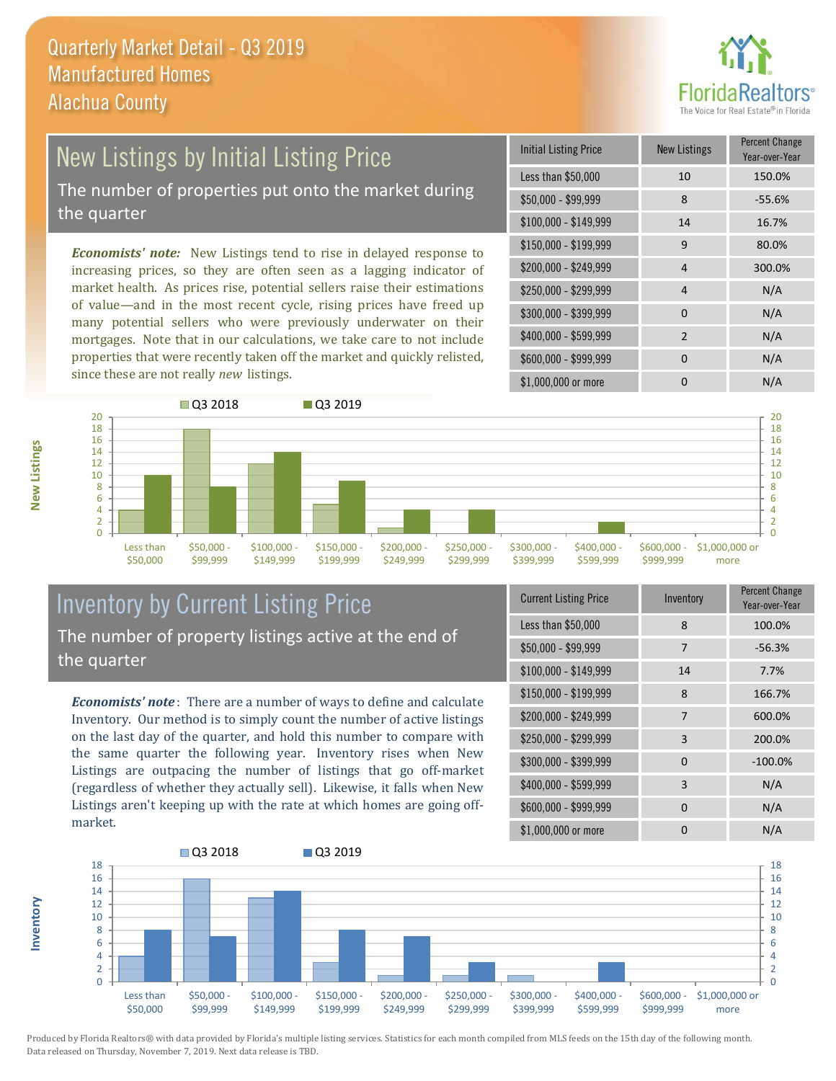![](_page_10_Picture_1.jpeg)

# New Listings by Initial Listing Price

The number of properties put onto the market during the quarter

*Economists' note:* New Listings tend to rise in delayed response to increasing prices, so they are often seen as a lagging indicator of market health. As prices rise, potential sellers raise their estimations of value—and in the most recent cycle, rising prices have freed up many potential sellers who were previously underwater on their mortgages. Note that in our calculations, we take care to not include properties that were recently taken off the market and quickly relisted, since these are not really *new* listings.

| Initial Listing Price | New Listings   | <b>Percent Change</b><br>Year-over-Year |
|-----------------------|----------------|-----------------------------------------|
| Less than \$50,000    | 10             | 150.0%                                  |
| $$50,000 - $99,999$   | 8              | $-55.6%$                                |
| $$100,000 - $149,999$ | 14             | 16.7%                                   |
| $$150,000 - $199,999$ | 9              | 80.0%                                   |
| \$200,000 - \$249,999 | 4              | 300.0%                                  |
| \$250,000 - \$299,999 | 4              | N/A                                     |
| \$300,000 - \$399,999 | 0              | N/A                                     |
| \$400,000 - \$599,999 | $\mathfrak{p}$ | N/A                                     |
| \$600,000 - \$999,999 | 0              | N/A                                     |
| \$1,000,000 or more   | O              | N/A                                     |

![](_page_10_Figure_6.jpeg)

### Inventory by Current Listing Price The number of property listings active at the end of the quarter

*Economists' note* : There are a number of ways to define and calculate Inventory. Our method is to simply count the number of active listings on the last day of the quarter, and hold this number to compare with the same quarter the following year. Inventory rises when New Listings are outpacing the number of listings that go off-market (regardless of whether they actually sell). Likewise, it falls when New Listings aren't keeping up with the rate at which homes are going offmarket.

| <b>Current Listing Price</b> | Inventory    | Percent Change<br>Year-over-Year |
|------------------------------|--------------|----------------------------------|
| Less than \$50,000           | 8            | 100.0%                           |
| $$50,000 - $99,999$          | 7            | $-56.3%$                         |
| $$100,000 - $149,999$        | 14           | 7.7%                             |
| $$150,000 - $199,999$        | 8            | 166.7%                           |
| \$200,000 - \$249,999        | 7            | 600.0%                           |
| \$250,000 - \$299,999        | 3            | 200.0%                           |
| \$300,000 - \$399,999        | $\Omega$     | $-100.0%$                        |
| \$400,000 - \$599,999        | 3            | N/A                              |
| \$600,000 - \$999,999        | <sup>0</sup> | N/A                              |
| \$1,000,000 or more          | ŋ            | N/A                              |

![](_page_10_Figure_10.jpeg)

Produced by Florida Realtors® with data provided by Florida's multiple listing services. Statistics for each month compiled from MLS feeds on the 15th day of the following month. Data released on Thursday, November 7, 2019. Next data release is TBD.

**Inventory**